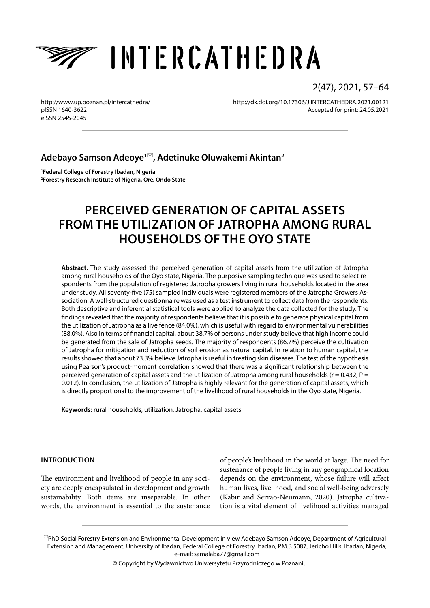

2(47), 2021, 57–64

<http://www.up.poznan.pl/intercathedra/> pISSN 1640-3622 eISSN 2545-2045

<http://dx.doi.org/10.17306/J.INTERCATHEDRA.2021.00121> Accepted for print: 24.05.2021

## **Adebayo Samson Adeoye1, Adetinuke Oluwakemi Akintan2**

**1 Federal College of Forestry Ibadan, Nigeria 2 Forestry Research Institute of Nigeria, Ore, Ondo State**

# **PERCEIVED GENERATION OF CAPITAL ASSETS FROM THE UTILIZATION OF JATROPHA AMONG RURAL HOUSEHOLDS OF THE OYO STATE**

**Abstract.** The study assessed the perceived generation of capital assets from the utilization of Jatropha among rural households of the Oyo state, Nigeria. The purposive sampling technique was used to select respondents from the population of registered Jatropha growers living in rural households located in the area under study. All seventy-five (75) sampled individuals were registered members of the Jatropha Growers Association. A well-structured questionnaire was used as a test instrument to collect data from the respondents. Both descriptive and inferential statistical tools were applied to analyze the data collected for the study. The findings revealed that the majority of respondents believe that it is possible to generate physical capital from the utilization of Jatropha as a live fence (84.0%), which is useful with regard to environmental vulnerabilities (88.0%). Also in terms of financial capital, about 38.7% of persons under study believe that high income could be generated from the sale of Jatropha seeds. The majority of respondents (86.7%) perceive the cultivation of Jatropha for mitigation and reduction of soil erosion as natural capital. In relation to human capital, the results showed that about 73.3% believe Jatropha is useful in treating skin diseases. The test of the hypothesis using Pearson's product-moment correlation showed that there was a significant relationship between the perceived generation of capital assets and the utilization of Jatropha among rural households ( $r = 0.432$ ,  $P =$ 0.012). In conclusion, the utilization of Jatropha is highly relevant for the generation of capital assets, which is directly proportional to the improvement of the livelihood of rural households in the Oyo state, Nigeria.

**Keywords:** rural households, utilization, Jatropha, capital assets

#### **INTRODUCTION**

The environment and livelihood of people in any society are deeply encapsulated in development and growth sustainability. Both items are inseparable. In other words, the environment is essential to the sustenance

of people's livelihood in the world at large. The need for sustenance of people living in any geographical location depends on the environment, whose failure will affect human lives, livelihood, and social well-being adversely (Kabir and Serrao-Neumann, 2020). Jatropha cultivation is a vital element of livelihood activities managed

© Copyright by Wydawnictwo Uniwersytetu Przyrodniczego w Poznaniu

PhD Social Forestry Extension and Environmental Development in view Adebayo Samson Adeoye, Department of Agricultural Extension and Management, University of Ibadan, Federal College of Forestry Ibadan, P.M.B 5087, Jericho Hills, Ibadan, Nigeria, e-mail: [samalaba77@gmail.com](mailto:samalaba77@gmail.com)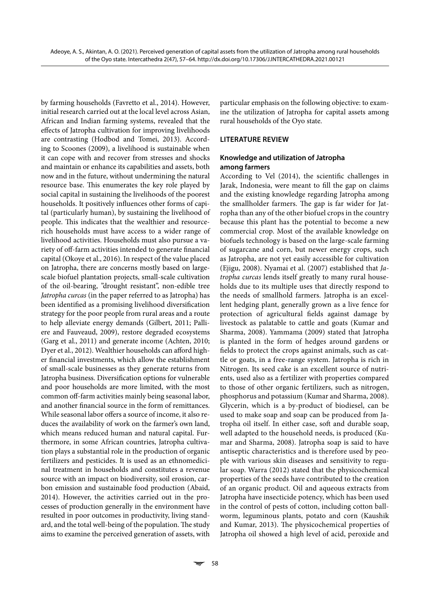by farming households (Favretto et al., 2014). However, initial research carried out at the local level across Asian, African and Indian farming systems, revealed that the effects of Jatropha cultivation for improving livelihoods are contrasting (Hodbod and Tomei, 2013). According to Scoones (2009), a livelihood is sustainable when it can cope with and recover from stresses and shocks and maintain or enhance its capabilities and assets, both now and in the future, without undermining the natural resource base. This enumerates the key role played by social capital in sustaining the livelihoods of the poorest households. It positively influences other forms of capital (particularly human), by sustaining the livelihood of people. This indicates that the wealthier and resourcerich households must have access to a wider range of livelihood activities. Households must also pursue a variety of off-farm activities intended to generate financial capital (Okoye et al., 2016). In respect of the value placed on Jatropha, there are concerns mostly based on largescale biofuel plantation projects, small-scale cultivation of the oil-bearing, "drought resistant", non-edible tree *Jatropha curcas* (in the paper referred to as Jatropha) has been identified as a promising livelihood diversification strategy for the poor people from rural areas and a route to help alleviate energy demands (Gilbert, 2011; Palliere and Fauveaud, 2009), restore degraded ecosystems (Garg et al., 2011) and generate income (Achten, 2010; Dyer et al., 2012). Wealthier households can afford higher financial investments, which allow the establishment of small-scale businesses as they generate returns from Jatropha business. Diversification options for vulnerable and poor households are more limited, with the most common off-farm activities mainly being seasonal labor, and another financial source in the form of remittances. While seasonal labor offers a source of income, it also reduces the availability of work on the farmer's own land, which means reduced human and natural capital. Furthermore, in some African countries, Jatropha cultivation plays a substantial role in the production of organic fertilizers and pesticides. It is used as an ethnomedicinal treatment in households and constitutes a revenue source with an impact on biodiversity, soil erosion, carbon emission and sustainable food production (Abaid, 2014). However, the activities carried out in the processes of production generally in the environment have resulted in poor outcomes in productivity, living standard, and the total well-being of the population. The study aims to examine the perceived generation of assets, with particular emphasis on the following objective: to examine the utilization of Jatropha for capital assets among rural households of the Oyo state.

#### **LITERATURE REVIEW**

#### **Knowledge and utilization of Jatropha among farmers**

According to Vel (2014), the scientific challenges in Jarak, Indonesia, were meant to fill the gap on claims and the existing knowledge regarding Jatropha among the smallholder farmers. The gap is far wider for Jatropha than any of the other biofuel crops in the country because this plant has the potential to become a new commercial crop. Most of the available knowledge on biofuels technology is based on the large-scale farming of sugarcane and corn, but newer energy crops, such as Jatropha, are not yet easily accessible for cultivation (Ejigu, 2008). Nyamai et al. (2007) established that *Jatropha curcas* lends itself greatly to many rural households due to its multiple uses that directly respond to the needs of smallhold farmers. Jatropha is an excellent hedging plant, generally grown as a live fence for protection of agricultural fields against damage by livestock as palatable to cattle and goats (Kumar and Sharma, 2008). Yammama (2009) stated that Jatropha is planted in the form of hedges around gardens or fields to protect the crops against animals, such as cattle or goats, in a free-range system. Jatropha is rich in Nitrogen. Its seed cake is an excellent source of nutrients, used also as a fertilizer with properties compared to those of other organic fertilizers, such as nitrogen, phosphorus and potassium (Kumar and Sharma, 2008). Glycerin, which is a by-product of biodiesel, can be used to make soap and soap can be produced from Jatropha oil itself. In either case, soft and durable soap, well adapted to the household needs, is produced (Kumar and Sharma, 2008). Jatropha soap is said to have antiseptic characteristics and is therefore used by people with various skin diseases and sensitivity to regular soap. Warra (2012) stated that the physicochemical properties of the seeds have contributed to the creation of an organic product. Oil and aqueous extracts from Jatropha have insecticide potency, which has been used in the control of pests of cotton, including cotton ballworm, leguminous plants, potato and corn (Kaushik and Kumar, 2013). The physicochemical properties of Jatropha oil showed a high level of acid, peroxide and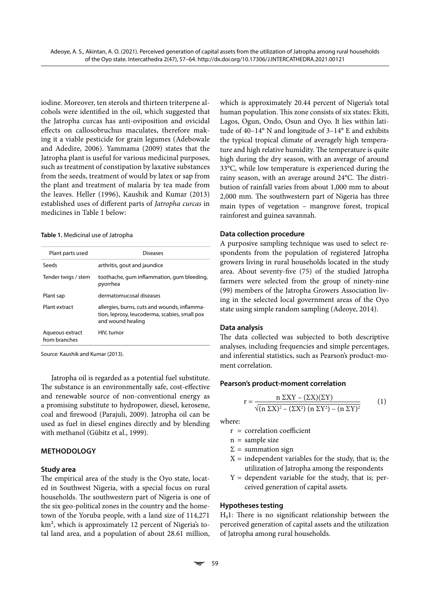iodine. Moreover, ten sterols and thirteen triterpene alcohols were identified in the oil, which suggested that the Jatropha curcas has anti-oviposition and ovicidal effects on callosobruchus maculates, therefore making it a viable pesticide for grain legumes (Adebowale and Adedire, 2006). Yammama (2009) states that the Jatropha plant is useful for various medicinal purposes, such as treatment of constipation by laxative substances from the seeds, treatment of would by latex or sap from the plant and treatment of malaria by tea made from the leaves. Heller (1996), Kaushik and Kumar (2013) established uses of different parts of *Jatropha curcas* in medicines in Table 1 below:

**Table 1.** Medicinal use of Jatropha

| Plant parts used                 | Diseases                                                                                                           |
|----------------------------------|--------------------------------------------------------------------------------------------------------------------|
| Seeds                            | arthritis, gout and jaundice                                                                                       |
| Tender twigs / stem              | toothache, gum inflammation, gum bleeding,<br>pyorrhea                                                             |
| Plant sap                        | dermatomucosal diseases                                                                                            |
| Plant extract                    | allergies, burns, cuts and wounds, inflamma-<br>tion, leprosy, leucoderma, scabies, small pox<br>and wound healing |
| Aqueous extract<br>from branches | HIV, tumor                                                                                                         |
|                                  |                                                                                                                    |

Source: Kaushik and Kumar (2013).

Jatropha oil is regarded as a potential fuel substitute. The substance is an environmentally safe, cost-effective and renewable source of non-conventional energy as a promising substitute to hydropower, diesel, kerosene, coal and firewood (Parajuli, 2009). Jatropha oil can be used as fuel in diesel engines directly and by blending with methanol (Gübitz et al., 1999).

#### **METHODOLOGY**

#### **Study area**

The empirical area of the study is the Oyo state, located in Southwest Nigeria, with a special focus on rural households. The southwestern part of Nigeria is one of the six geo-political zones in the country and the hometown of the Yoruba people, with a land size of 114,271 km², which is approximately 12 percent of Nigeria's total land area, and a population of about 28.61 million,

which is approximately 20.44 percent of Nigeria's total human population. This zone consists of six states: Ekiti, Lagos, Ogun, Ondo, Osun and Oyo. It lies within latitude of 40–14° N and longitude of 3–14° E and exhibits the typical tropical climate of averagely high temperature and high relative humidity. The temperature is quite high during the dry season, with an average of around 33°C, while low temperature is experienced during the rainy season, with an average around 24°C. The distribution of rainfall varies from about 1,000 mm to about 2,000 mm. The southwestern part of Nigeria has three main types of vegetation – mangrove forest, tropical rainforest and guinea savannah.

#### **Data collection procedure**

A purposive sampling technique was used to select respondents from the population of registered Jatropha growers living in rural households located in the study area. About seventy-five (75) of the studied Jatropha farmers were selected from the group of ninety-nine (99) members of the Jatropha Growers Association living in the selected local government areas of the Oyo state using simple random sampling (Adeoye, 2014).

#### **Data analysis**

The data collected was subjected to both descriptive analyses, including frequencies and simple percentages, and inferential statistics, such as Pearson's product-moment correlation.

#### **Pearson's product-moment correlation**

$$
r = \frac{n \Sigma XY - (\Sigma X)(\Sigma Y)}{\sqrt{(n \Sigma X)^2 - (\Sigma X^2) (n \Sigma Y)^2 - (n \Sigma Y)^2}}
$$
(1)

where:

- r = correlation coefficient
- $n =$ sample size
- $\Sigma$  = summation sign
- $X =$  independent variables for the study, that is; the utilization of Jatropha among the respondents
- $Y =$  dependent variable for the study, that is; perceived generation of capital assets.

#### **Hypotheses testing**

 $H<sub>0</sub>$ 1: There is no significant relationship between the perceived generation of capital assets and the utilization of Jatropha among rural households.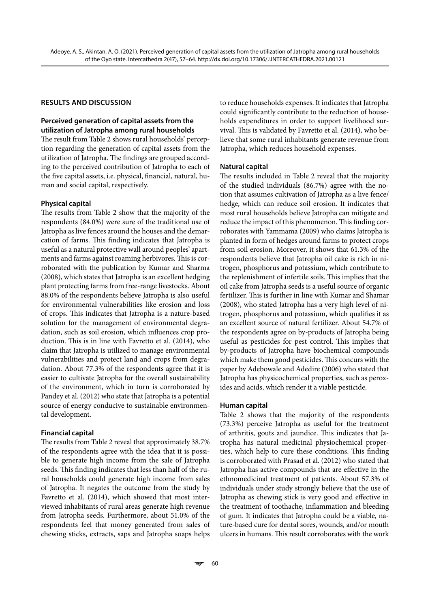#### **RESULTS AND DISCUSSION**

#### **Perceived generation of capital assets from the utilization of Jatropha among rural households**

The result from Table 2 shows rural households' perception regarding the generation of capital assets from the utilization of Jatropha. The findings are grouped according to the perceived contribution of Jatropha to each of the five capital assets, i.e. physical, financial, natural, human and social capital, respectively.

#### **Physical capital**

The results from Table 2 show that the majority of the respondents (84.0%) were sure of the traditional use of Jatropha as live fences around the houses and the demarcation of farms. This finding indicates that Jatropha is useful as a natural protective wall around peoples' apartments and farms against roaming herbivores. This is corroborated with the publication by Kumar and Sharma (2008), which states that Jatropha is an excellent hedging plant protecting farms from free-range livestocks. About 88.0% of the respondents believe Jatropha is also useful for environmental vulnerabilities like erosion and loss of crops. This indicates that Jatropha is a nature-based solution for the management of environmental degradation, such as soil erosion, which influences crop production. This is in line with Favretto et al. (2014), who claim that Jatropha is utilized to manage environmental vulnerabilities and protect land and crops from degradation. About 77.3% of the respondents agree that it is easier to cultivate Jatropha for the overall sustainability of the environment, which in turn is corroborated by Pandey et al. (2012) who state that Jatropha is a potential source of energy conducive to sustainable environmental development.

#### **Financial capital**

The results from Table 2 reveal that approximately 38.7% of the respondents agree with the idea that it is possible to generate high income from the sale of Jatropha seeds. This finding indicates that less than half of the rural households could generate high income from sales of Jatropha. It negates the outcome from the study by Favretto et al. (2014), which showed that most interviewed inhabitants of rural areas generate high revenue from Jatropha seeds. Furthermore, about 51.0% of the respondents feel that money generated from sales of chewing sticks, extracts, saps and Jatropha soaps helps to reduce households expenses. It indicates that Jatropha could significantly contribute to the reduction of households expenditures in order to support livelihood survival. This is validated by Favretto et al. (2014), who believe that some rural inhabitants generate revenue from Jatropha, which reduces household expenses.

#### **Natural capital**

The results included in Table 2 reveal that the majority of the studied individuals (86.7%) agree with the notion that assumes cultivation of Jatropha as a live fence/ hedge, which can reduce soil erosion. It indicates that most rural households believe Jatropha can mitigate and reduce the impact of this phenomenon. This finding corroborates with Yammama (2009) who claims Jatropha is planted in form of hedges around farms to protect crops from soil erosion. Moreover, it shows that 61.3% of the respondents believe that Jatropha oil cake is rich in nitrogen, phosphorus and potassium, which contribute to the replenishment of infertile soils. This implies that the oil cake from Jatropha seeds is a useful source of organic fertilizer. This is further in line with Kumar and Shamar (2008), who stated Jatropha has a very high level of nitrogen, phosphorus and potassium, which qualifies it as an excellent source of natural fertilizer. About 54.7% of the respondents agree on by-products of Jatropha being useful as pesticides for pest control. This implies that by-products of Jatropha have biochemical compounds which make them good pesticides. This concurs with the paper by Adebowale and Adedire (2006) who stated that Jatropha has physicochemical properties, such as peroxides and acids, which render it a viable pesticide.

#### **Human capital**

Table 2 shows that the majority of the respondents (73.3%) perceive Jatropha as useful for the treatment of arthritis, gouts and jaundice. This indicates that Jatropha has natural medicinal physiochemical properties, which help to cure these conditions. This finding is corroborated with Prasad et al. (2012) who stated that Jatropha has active compounds that are effective in the ethnomedicinal treatment of patients. About 57.3% of individuals under study strongly believe that the use of Jatropha as chewing stick is very good and effective in the treatment of toothache, inflammation and bleeding of gum. It indicates that Jatropha could be a viable, nature-based cure for dental sores, wounds, and/or mouth ulcers in humans. This result corroborates with the work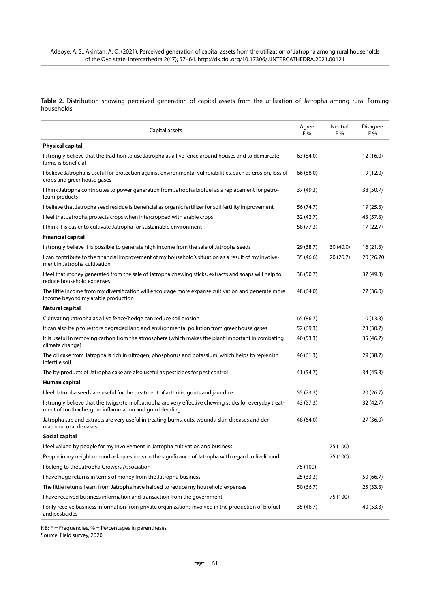**Table 2.** Distribution showing perceived generation of capital assets from the utilization of Jatropha among rural farming households

| Capital assets                                                                                                                                                   |           | Neutral<br>F % | <b>Disagree</b><br>F % |
|------------------------------------------------------------------------------------------------------------------------------------------------------------------|-----------|----------------|------------------------|
| <b>Physical capital</b>                                                                                                                                          |           |                |                        |
| I strongly believe that the tradition to use Jatropha as a live fence around houses and to demarcate<br>farms is beneficial                                      | 63 (84.0) |                | 12 (16.0)              |
| I believe Jatropha is useful for protection against environmental vulnerabilities, such as erosion, loss of<br>crops and greenhouse gases                        | 66 (88.0) |                | 9(12.0)                |
| I think Jatropha contributes to power generation from Jatropha biofuel as a replacement for petro-<br>leum products                                              | 37 (49.3) |                | 38 (50.7)              |
| I believe that Jatropha seed residue is beneficial as organic fertilizer for soil fertility improvement                                                          | 56 (74.7) |                | 19 (25.3)              |
| I feel that Jatropha protects crops when intercropped with arable crops                                                                                          | 32 (42.7) |                | 43 (57.3)              |
| I think it is easier to cultivate Jatropha for sustainable environment                                                                                           | 58 (77.3) |                | 17(22.7)               |
| <b>Financial capital</b>                                                                                                                                         |           |                |                        |
| I strongly believe it is possible to generate high income from the sale of Jatropha seeds                                                                        | 29 (38.7) | 30 (40.0)      | 16(21.3)               |
| I can contribute to the financial improvement of my household's situation as a result of my involve-<br>ment in Jatropha cultivation                             | 35 (46.6) | 20(26.7)       | 20 (26.70              |
| I feel that money generated from the sale of Jatropha chewing sticks, extracts and soaps will help to<br>reduce household expenses                               | 38 (50.7) |                | 37 (49.3)              |
| The little income from my diversification will encourage more expanse cultivation and generate more<br>income beyond my arable production                        | 48 (64.0) |                | 27(36.0)               |
| Natural capital                                                                                                                                                  |           |                |                        |
| Cultivating Jatropha as a live fence/hedge can reduce soil erosion                                                                                               | 65 (86.7) |                | 10(13.3)               |
| It can also help to restore degraded land and environmental pollution from greenhouse gases                                                                      | 52 (69.3) |                | 23(30.7)               |
| It is useful in removing carbon from the atmosphere (which makes the plant important in combating<br>climate change)                                             | 40 (53.3) |                | 35 (46.7)              |
| The oil cake from Jatropha is rich in nitrogen, phosphorus and potassium, which helps to replenish<br>infertile soil                                             | 46 (61.3) |                | 29 (38.7)              |
| The by-products of Jatropha cake are also useful as pesticides for pest control                                                                                  | 41 (54.7) |                | 34 (45.3)              |
| Human capital                                                                                                                                                    |           |                |                        |
| I feel Jatropha seeds are useful for the treatment of arthritis, gouts and jaundice                                                                              | 55 (73.3) |                | 20(26.7)               |
| I strongly believe that the twigs/stem of Jatropha are very effective chewing sticks for everyday treat-<br>ment of toothache, gum inflammation and gum bleeding | 43 (57.3) |                | 32 (42.7)              |
| Jatropha sap and extracts are very useful in treating burns, cuts, wounds, skin diseases and der-<br>matomucosal diseases                                        | 48 (64.0) |                | 27 (36.0)              |
| Social capital                                                                                                                                                   |           |                |                        |
| I feel valued by people for my involvement in Jatropha cultivation and business                                                                                  |           | 75 (100)       |                        |
| People in my neighborhood ask questions on the significance of Jatropha with regard to livelihood                                                                |           | 75 (100)       |                        |
| I belong to the Jatropha Growers Association                                                                                                                     | 75 (100)  |                |                        |
| I have huge returns in terms of money from the Jatropha business                                                                                                 | 25(33.3)  |                | 50 (66.7)              |
| The little returns I earn from Jatropha have helped to reduce my household expenses                                                                              | 50 (66.7) |                | 25 (33.3)              |
| I have received business information and transaction from the government                                                                                         |           | 75 (100)       |                        |
| I only receive business information from private organizations involved in the production of biofuel<br>and pesticides                                           | 35 (46.7) |                | 40 (53.3)              |

 $NB: F = Frequence, % = Percentages in parentheses$ Source: Field survey, 2020.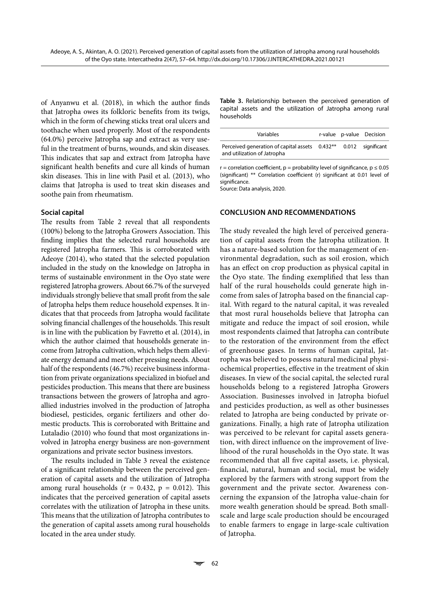of Anyanwu et al. (2018), in which the author finds that Jatropha owes its folkloric benefits from its twigs, which in the form of chewing sticks treat oral ulcers and toothache when used properly. Most of the respondents (64.0%) perceive Jatropha sap and extract as very useful in the treatment of burns, wounds, and skin diseases. This indicates that sap and extract from Jatropha have significant health benefits and cure all kinds of human skin diseases. This in line with Pasil et al. (2013), who claims that Jatropha is used to treat skin diseases and soothe pain from rheumatism.

#### **Social capital**

The results from Table 2 reveal that all respondents (100%) belong to the Jatropha Growers Association. This finding implies that the selected rural households are registered Jatropha farmers. This is corroborated with Adeoye (2014), who stated that the selected population included in the study on the knowledge on Jatropha in terms of sustainable environment in the Oyo state were registered Jatropha growers. About 66.7% of the surveyed individuals strongly believe that small profit from the sale of Jatropha helps them reduce household expenses. It indicates that that proceeds from Jatropha would facilitate solving financial challenges of the households. This result is in line with the publication by Favretto et al. (2014), in which the author claimed that households generate income from Jatropha cultivation, which helps them alleviate energy demand and meet other pressing needs. About half of the respondents (46.7%) receive business information from private organizations specialized in biofuel and pesticides production. This means that there are business transactions between the growers of Jatropha and agroallied industries involved in the production of Jatropha biodiesel, pesticides, organic fertilizers and other domestic products. This is corroborated with Brittaine and Lutaladio (2010) who found that most organizations involved in Jatropha energy business are non-government organizations and private sector business investors.

The results included in Table 3 reveal the existence of a significant relationship between the perceived generation of capital assets and the utilization of Jatropha among rural households ( $r = 0.432$ ,  $p = 0.012$ ). This indicates that the perceived generation of capital assets correlates with the utilization of Jatropha in these units. This means that the utilization of Jatropha contributes to the generation of capital assets among rural households located in the area under study.

**Table 3.** Relationship between the perceived generation of capital assets and the utilization of Jatropha among rural households

| Variables                                                                                                   |  | r-value p-value Decision |
|-------------------------------------------------------------------------------------------------------------|--|--------------------------|
| Perceived generation of capital assets 0.432 <sup>**</sup> 0.012 significant<br>and utilization of Jatropha |  |                          |

 $r =$  correlation coefficient,  $p =$  probability level of significance,  $p \le 0.05$ (significant) \*\* Correlation coefficient (r) significant at 0.01 level of significance.

Source: Data analysis, 2020.

#### **CONCLUSION AND RECOMMENDATIONS**

The study revealed the high level of perceived generation of capital assets from the Jatropha utilization. It has a nature-based solution for the management of environmental degradation, such as soil erosion, which has an effect on crop production as physical capital in the Oyo state. The finding exemplified that less than half of the rural households could generate high income from sales of Jatropha based on the financial capital. With regard to the natural capital, it was revealed that most rural households believe that Jatropha can mitigate and reduce the impact of soil erosion, while most respondents claimed that Jatropha can contribute to the restoration of the environment from the effect of greenhouse gases. In terms of human capital, Jatropha was believed to possess natural medicinal physiochemical properties, effective in the treatment of skin diseases. In view of the social capital, the selected rural households belong to a registered Jatropha Growers Association. Businesses involved in Jatropha biofuel and pesticides production, as well as other businesses related to Jatropha are being conducted by private organizations. Finally, a high rate of Jatropha utilization was perceived to be relevant for capital assets generation, with direct influence on the improvement of livelihood of the rural households in the Oyo state. It was recommended that all five capital assets, i.e. physical, financial, natural, human and social, must be widely explored by the farmers with strong support from the government and the private sector. Awareness concerning the expansion of the Jatropha value-chain for more wealth generation should be spread. Both smallscale and large scale production should be encouraged to enable farmers to engage in large-scale cultivation of Jatropha.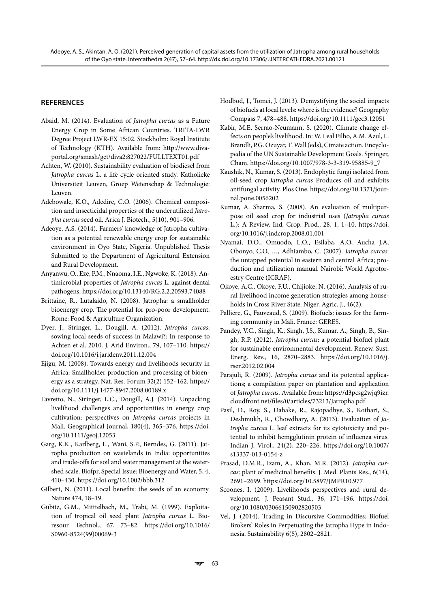#### **REFERENCES**

- Abaid, M. (2014). Evaluation of *Jatropha curcas* as a Future Energy Crop in Some African Countries. TRITA-LWR Degree Project LWR-EX 15:02. Stockholm: Royal Institute of Technology (KTH). Available from: [http://www.diva](http://www.diva-portal.org/smash/get/diva2:827022/FULLTEXT01.pdf%20)[portal.org/smash/get/diva2:827022/FULLTEXT01.pdf](http://www.diva-portal.org/smash/get/diva2:827022/FULLTEXT01.pdf%20)
- Achten, W. (2010). Sustainability evaluation of biodiesel from *Jatropha curcas* L. a life cycle oriented study. Katholieke Universiteit Leuven, Groep Wetenschap & Technologie: Leuven.
- Adebowale, K.O., Adedire, C.O. (2006). Chemical composition and insecticidal properties of the underutilized *Jatropha curcas* seed oil. Arica J. Biotech., 5(10), 901–906.
- Adeoye, A.S. (2014). Farmers' knowledge of Jatropha cultivation as a potential renewable energy crop for sustainable environment in Oyo State, Nigeria. Unpublished Thesis Submitted to the Department of Agricultural Extension and Rural Development.
- Anyanwu, O., Eze, P.M., Nnaoma, I.E., Ngwoke, K. (2018). Antimicrobial properties of *Jatropha curcas* L. against dental pathogens.<https://doi.org/10.13140/RG.2.2.20593.74088>
- Brittaine, R., Lutalaido, N. (2008). Jatropha: a smallholder bioenergy crop. The potential for pro-poor development. Rome: Food & Agriculture Organization.
- Dyer, J., Stringer, L., Dougill, A. (2012). *Jatropha curcas*: sowing local seeds of success in Malawi?: In response to Achten et al. 2010. J. Arid Environ., 79, 107–110. [https://](https://doi.org/10.1016/j.jaridenv.2011.12.004) [doi.org/10.1016/j.jaridenv.2011.12.004](https://doi.org/10.1016/j.jaridenv.2011.12.004)
- Ejigu, M. (2008). Towards energy and livelihoods security in Africa: Smallholder production and processing of bioenergy as a strategy. Nat. Res. Forum 32(2) 152–162. [https://](https://doi.org/10.1111/j.1477-8947.2008.00189.x) [doi.org/10.1111/j.1477-8947.2008.00189.x](https://doi.org/10.1111/j.1477-8947.2008.00189.x)
- Favretto, N., Stringer, L.C., Dougill, A.J. (2014). Unpacking livelihood challenges and opportunities in energy crop cultivation: perspectives on *Jatropha curcas* projects in Mali. Geographical Journal, 180(4), 365–376. [https://doi.](https://doi.org/10.1111/geoj.12053) [org/10.1111/geoj.12053](https://doi.org/10.1111/geoj.12053)
- Garg, K.K., Karlberg, L., Wani, S.P., Berndes, G. (2011). Jatropha production on wastelands in India: opportunities and trade-offs for soil and water management at the watershed scale. Biofpr, Special Issue: Bioenergy and Water, 5, 4, 410–430.<https://doi.org/10.1002/bbb.312>
- Gilbert, N. (2011). Local benefits: the seeds of an economy. Nature 474, 18–19.
- Gübitz, G.M., Mitttelbach, M., Trabi, M. (1999). Exploitation of tropical oil seed plant *Jatropha curcas* L. Bioresour. Technol., 67, 73–82. [https://doi.org/10.1016/](https://doi.org/10.1016/S0960-8524(99)00069-3) [S0960-8524\(99\)00069-3](https://doi.org/10.1016/S0960-8524(99)00069-3)
- Hodbod, J., Tomei, J. (2013). Demystifying the social impacts of biofuels at local levels: where is the evidence? Geography Compass 7, 478–488.<https://doi.org/10.1111/gec3.12051>
- Kabir, M.E, Serrao-Neumann, S. (2020). Climate change effects on people's livelihood. In: W. Leal Filho, A.M. Azul, L. Brandli, P.G. Ozuyar, T. Wall (eds), Cimate action. Encyclopedia of the UN Sustainable Development Goals. Springer, Cham. [https://doi.org/10.1007/978-3-3-319-95885-9\\_7](https://doi.org/10.1007/978-3-3-319-95885-9_7)
- Kaushik, N., Kumar, S. (2013). Endophytic fungi isolated from oil-seed crop *Jatropha curcas* Produces oil and exhibits antifungal activity. Plos One. [https://doi.org/10.1371/jour](https://doi.org/10.1371/journal.pone.0056202)[nal.pone.0056202](https://doi.org/10.1371/journal.pone.0056202)
- Kumar, A. Sharma, S. (2008). An evaluation of multipurpose oil seed crop for industrial uses (*Jatropha curcas* L.): A Review. Ind. Crop. Prod., 28, 1, 1–10. [https://doi.](https://doi.org/10.1016/j.indcrop.2008.01.001) [org/10.1016/j.indcrop.2008.01.001](https://doi.org/10.1016/j.indcrop.2008.01.001)
- Nyamai, D.O., Omuodo, L.O., [Esilaba, A.O](http://outputs.worldagroforestry.org/cgi-bin/koha/opac-search.pl?q=an:%222050%22), [Aucha J.A](http://outputs.worldagroforestry.org/cgi-bin/koha/opac-search.pl?q=an:%22431%22), [Obonyo, C.O](http://outputs.worldagroforestry.org/cgi-bin/koha/opac-search.pl?q=an:%225400%22), …, [Adhiambo, C](http://outputs.worldagroforestry.org/cgi-bin/koha/opac-search.pl?q=an:%2275%22). (2007). *Jatropha curcas*: the untapped potential in eastern and central Africa; production and utilization manual. Nairobi: World Agroforestry Centre (ICRAF).
- Okoye, A.C., Okoye, F.U., Chijioke, N. (2016). Analysis of rural livelihood income generation strategies among households in Cross River State. Niger. Agric. J., 46(2).
- Palliere, G., Fauveaud, S. (2009). Biofuels: issues for the farming community in Mali. France: GERES.
- Pandey, V.C., Singh, K., Singh, J.S., Kumar, A., Singh, B., Singh, R.P. (2012). *Jatropha curcas*: a potential biofuel plant for sustainable environmental development. Renew. Sust. Energ. Rev., 16, 2870–2883. [https://doi.org/10.1016/j.](https://doi.org/10.1016/j.rser.2012.02.004%20) [rser.2012.02.004](https://doi.org/10.1016/j.rser.2012.02.004%20)
- Parajuli, R. (2009). *Jatropha curcas* and its potential applications; a compilation paper on plantation and application of *Jatropha curcas*. Available from: [https://d3pcsg2wjq9izr.](https://d3pcsg2wjq9izr.cloudfront.net/files/0/articles/73213/Jatropha.pdf%20) [cloudfront.net/files/0/articles/73213/Jatropha.pdf](https://d3pcsg2wjq9izr.cloudfront.net/files/0/articles/73213/Jatropha.pdf%20)
- Pasil, D., Roy, S., Dahake, R., Rajopadhye, S., Kothari, S., Deshmukh, R., Chowdhary, A. (2013). Evaluation of *Jatropha curcas* L. leaf extracts for its cytotoxicity and potential to inhibit hemgglutinin protein of influenza virus. Indian J. Virol., 24(2), 220–226. [https://doi.org/10.1007/](https://doi.org/10.1007/s13337-013-0154-z%20) [s13337-013-0154-z](https://doi.org/10.1007/s13337-013-0154-z%20)
- Prasad, D.M.R., Izam, A., Khan, M.R. (2012). *Jatropha curcas*: plant of medicinal benefits. J. Med. Plants Res., 6(14), 2691–2699. [https://doi.org/10.5897/JMPR10.977](http://dx.doi.org/10.5897/JMPR10.977)
- Scoones, I. (2009). Livelihoods perspectives and rural development. J. Peasant Stud., 36, 171–196. [https://doi.](https://doi.org/10.1080/03066150902820503) [org/10.1080/03066150902820503](https://doi.org/10.1080/03066150902820503)
- Vel, J. (2014). Trading in Discursive Commodities: Biofuel Brokers' Roles in Perpetuating the Jatropha Hype in Indonesia. Sustainability 6(5), 2802–2821.

63 M